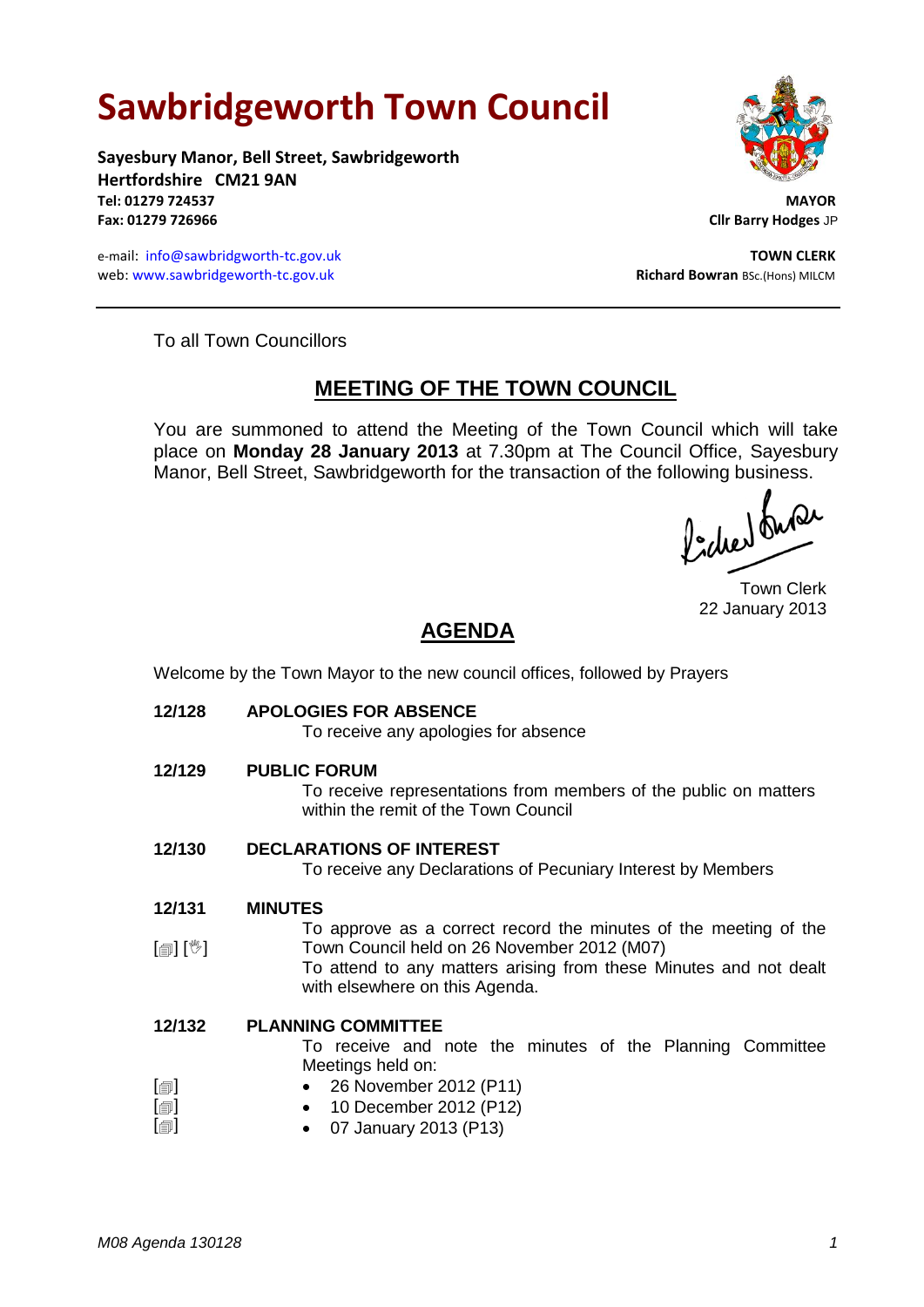# **Sawbridgeworth Town Council**

**Sayesbury Manor, Bell Street, Sawbridgeworth Hertfordshire CM21 9AN Tel: 01279 724537 MAYOR Fax: 01279 726966 Cllr Barry Hodges** JP

e-mail: [info@sawbridgworth-tc.gov.uk](mailto:info@sawbridgworth-tc.gov.uk) **TOWN CLERK** web: www.sawbridgeworth-tc.gov.uk **Richard Bowran** BSc.(Hons) MILCM



To all Town Councillors

## **MEETING OF THE TOWN COUNCIL**

You are summoned to attend the Meeting of the Town Council which will take place on **Monday 28 January 2013** at 7.30pm at The Council Office, Sayesbury Manor, Bell Street, Sawbridgeworth for the transaction of the following business.<br>  $\Lambda$ .  $\Lambda$ .  $\Lambda$ .

Town Clerk 22 January 2013

# **AGENDA**

Welcome by the Town Mayor to the new council offices, followed by Prayers

**12/128 APOLOGIES FOR ABSENCE**

To receive any apologies for absence

**12/129 PUBLIC FORUM**

To receive representations from members of the public on matters within the remit of the Town Council

**12/130 DECLARATIONS OF INTEREST**

To receive any Declarations of Pecuniary Interest by Members

**12/131 MINUTES**

[創] [<sup>3</sup>] To approve as a correct record the minutes of the meeting of the Town Council held on 26 November 2012 (M07)

To attend to any matters arising from these Minutes and not dealt with elsewhere on this Agenda.

#### **12/132 PLANNING COMMITTEE**

To receive and note the minutes of the Planning Committee Meetings held on:

- $[\blacksquare]$  26 November 2012 (P11)
	- 10 December 2012 (P12)
- $[\blacksquare]$ 07 January 2013 (P13)

 $[\blacksquare]$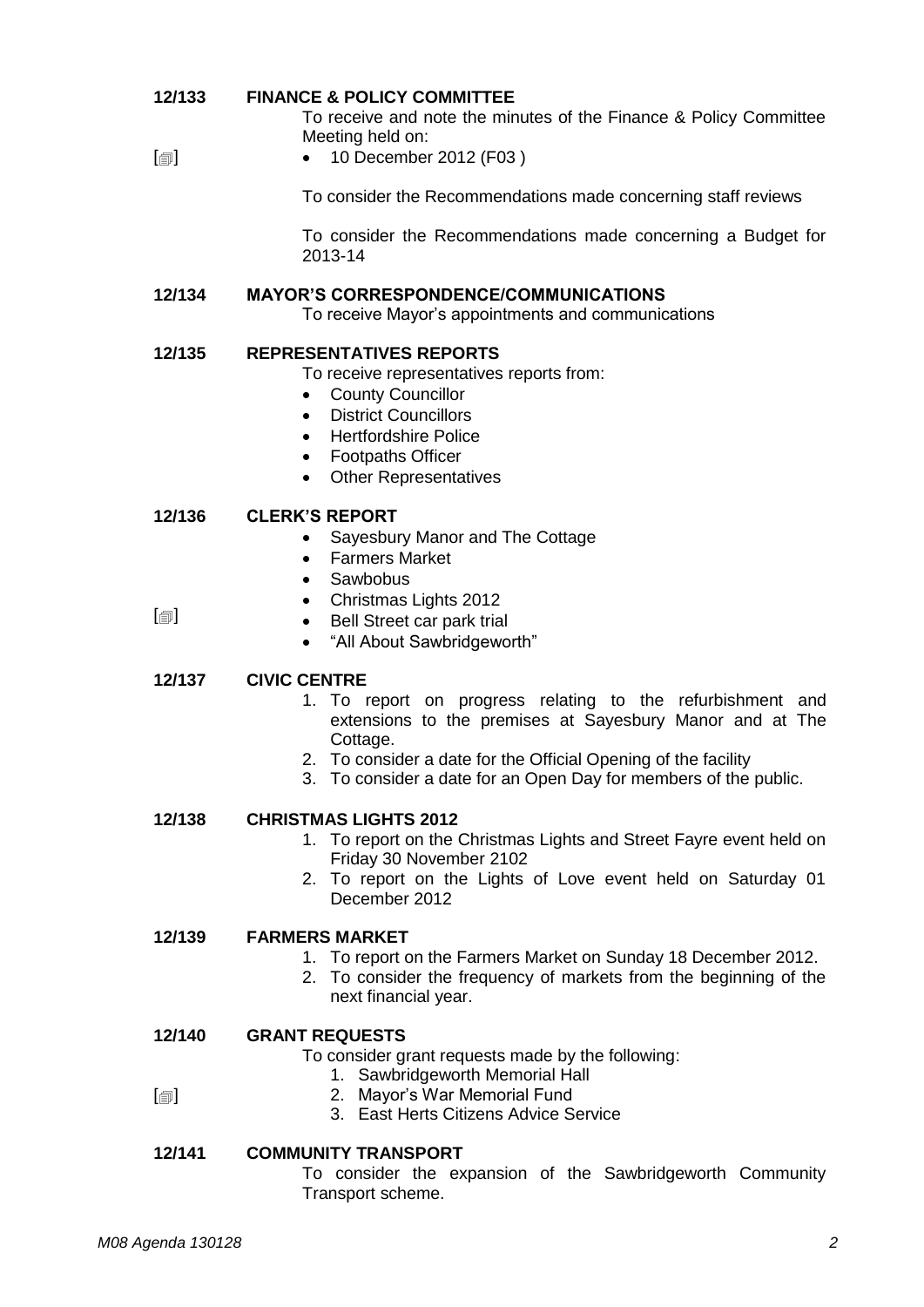#### **12/133 FINANCE & POLICY COMMITTEE**

To receive and note the minutes of the Finance & Policy Committee Meeting held on:

#### $\blacksquare$ • 10 December 2012 (F03)

To consider the Recommendations made concerning staff reviews

To consider the Recommendations made concerning a Budget for 2013-14

### **12/134 MAYOR'S CORRESPONDENCE/COMMUNICATIONS**

To receive Mayor's appointments and communications

### **12/135 REPRESENTATIVES REPORTS**

To receive representatives reports from:

- County Councillor
- District Councillors
- **•** Hertfordshire Police
- Footpaths Officer
- Other Representatives

#### **12/136 CLERK'S REPORT**

- Sayesbury Manor and The Cottage
- Farmers Market
- Sawbobus
- Christmas Lights 2012

 $\Box$ 

• Bell Street car park trial "All About Sawbridgeworth"

### **12/137 CIVIC CENTRE**

- 1. To report on progress relating to the refurbishment and extensions to the premises at Sayesbury Manor and at The Cottage.
- 2. To consider a date for the Official Opening of the facility
- 3. To consider a date for an Open Day for members of the public.

### **12/138 CHRISTMAS LIGHTS 2012**

- 1. To report on the Christmas Lights and Street Fayre event held on Friday 30 November 2102
- 2. To report on the Lights of Love event held on Saturday 01 December 2012

#### **12/139 FARMERS MARKET**

- 1. To report on the Farmers Market on Sunday 18 December 2012.
- 2. To consider the frequency of markets from the beginning of the next financial year.

#### **12/140 GRANT REQUESTS**

- To consider grant requests made by the following:
	- 1. Sawbridgeworth Memorial Hall
- 2. Mayor's War Memorial Fund
	- 3. East Herts Citizens Advice Service

### **12/141 COMMUNITY TRANSPORT**

To consider the expansion of the Sawbridgeworth Community Transport scheme.

 $\Box$